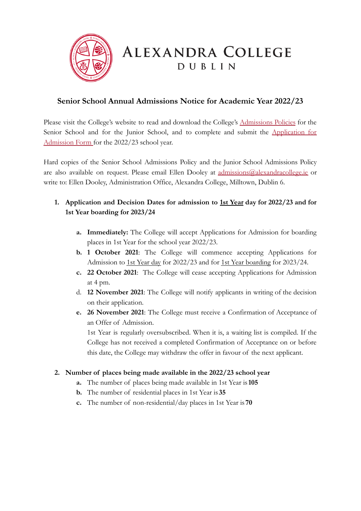

## **Senior School Annual Admissions Notice for Academic Year 2022/23**

Please visit the College's website to read and download the College's [Admissions](https://www.alexandracollege.eu/docs/Policies/Alexandra_College_Senior_School_Admissions_Policy_2020.pdf) Policies for the Senior School and for the Junior School, and to complete and submit the [Application](https://cms.enrol.ie/alexandracollege/) for [Admission Form](https://cms.enrol.ie/alexandracollege/) for the 2022/23 school year.

Hard copies of the Senior School Admissions Policy and the Junior School Admissions Policy are also available on request. Please email Ellen Dooley at [admissions@alexandracollege.ie](mailto:admissions@alexandracollege.ie) or write to: Ellen Dooley, Administration Office, Alexandra College, Milltown, Dublin 6.

- **1. Application and Decision Dates for admission to 1st Year day for 2022/23 and for 1st Year boarding for 2023/24**
	- **a. Immediately:** The College will accept Applications for Admission for boarding places in 1st Year for the school year 2022/23.
	- **b. 1 October 2021**: The College will commence accepting Applications for Admission to 1st Year day for 2022/23 and for 1st Year boarding for 2023/24.
	- **c. 22 October 2021**: The College will cease accepting Applications for Admission at 4 pm.
	- d. **12 November 2021**: The College will notify applicants in writing of the decision on their application.
	- **e. 26 November 2021**: The College must receive a Confirmation of Acceptance of an Offer of Admission.

1st Year is regularly oversubscribed. When it is, a waiting list is compiled. If the College has not received a completed Confirmation of Acceptance on or before this date, the College may withdraw the offer in favour of the next applicant.

## **2. Number of places being made available in the 2022/23 school year**

- **a.** The number of places being made available in 1st Year is**105**
- **b.** The number of residential places in 1st Year is **35**
- **c.** The number of non-residential/day places in 1st Year is **70**